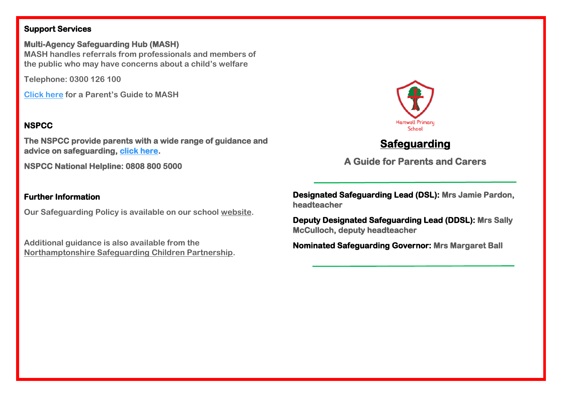# **Support Services**

**Multi-Agency Safeguarding Hub (MASH) MASH handles referrals from professionals and members of the public who may have concerns about a child's welfare**

**Telephone: 0300 126 100**

**[Click here](http://www.northamptonshirescb.org.uk/parents-carers/parents-mash-guide/) for a Parent's Guide to MASH**

# **NSPCC**

**The NSPCC provide parents with a wide range of guidance and advice on safeguarding, [click here.](https://www.nspcc.org.uk/keeping-children-safe/support-for-parents/)** 

**NSPCC National Helpline: 0808 800 5000** 

# **Further Information**

**Our Safeguarding Policy is available on our school [website.](https://www.hartwellschool.com/our-school/policies)**

**Additional guidance is also available from the [Northamptonshire Safeguarding Children Partnership.](http://www.northamptonshirescb.org.uk/about-northamptonshire-safeguarding-children-partnership/the-partnership/)**



**Deputy Designated Safeguarding Lead (DDSL): Mrs Sally McCulloch, deputy headteacher** 

**Nominated Safeguarding Governor: Mrs Margaret Ball** 



# **Safeguarding**

**A Guide for Parents and Carers**